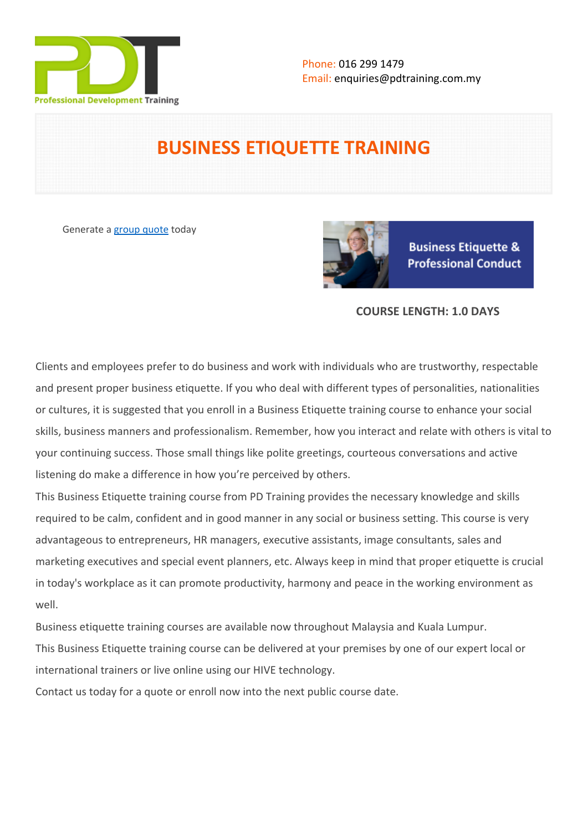

# **BUSINESS ETIQUETTE TRAINING**

Generate a [group quote](https://pdtraining.com.my/inhouse-training-quote?cse=PDT0004) today



**Business Etiquette & Professional Conduct** 

# **COURSE LENGTH: 1.0 DAYS**

Clients and employees prefer to do business and work with individuals who are trustworthy, respectable and present proper business etiquette. If you who deal with different types of personalities, nationalities or cultures, it is suggested that you enroll in a Business Etiquette training course to enhance your social skills, business manners and professionalism. Remember, how you interact and relate with others is vital to your continuing success. Those small things like polite greetings, courteous conversations and active listening do make a difference in how you're perceived by others.

This Business Etiquette training course from PD Training provides the necessary knowledge and skills required to be calm, confident and in good manner in any social or business setting. This course is very advantageous to entrepreneurs, HR managers, executive assistants, image consultants, sales and marketing executives and special event planners, etc. Always keep in mind that proper etiquette is crucial in today's workplace as it can promote productivity, harmony and peace in the working environment as well.

Business etiquette training courses are available now throughout Malaysia and Kuala Lumpur. This Business Etiquette training course can be delivered at your premises by one of our expert local or international trainers or live online using our HIVE technology.

Contact us today for a quote or enroll now into the next public course date.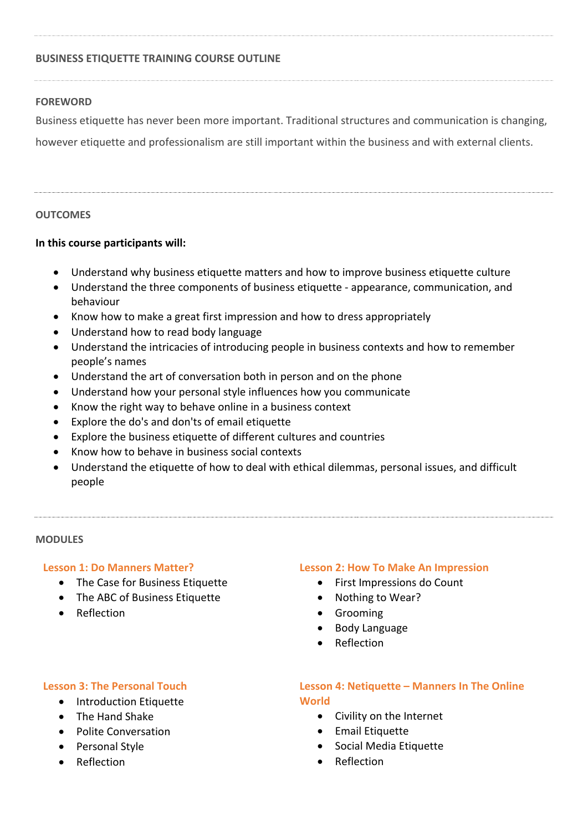# **BUSINESS ETIQUETTE TRAINING COURSE OUTLINE**

# **FOREWORD**

Business etiquette has never been more important. Traditional structures and communication is changing,

however etiquette and professionalism are still important within the business and with external clients.

### **OUTCOMES**

# **In this course participants will:**

- Understand why business etiquette matters and how to improve business etiquette culture
- Understand the three components of business etiquette appearance, communication, and behaviour
- Know how to make a great first impression and how to dress appropriately
- Understand how to read body language
- Understand the intricacies of introducing people in business contexts and how to remember people's names
- Understand the art of conversation both in person and on the phone
- Understand how your personal style influences how you communicate
- Know the right way to behave online in a business context
- Explore the do's and don'ts of email etiquette
- Explore the business etiquette of different cultures and countries
- Know how to behave in business social contexts
- Understand the etiquette of how to deal with ethical dilemmas, personal issues, and difficult people

#### **MODULES**

#### **Lesson 1: Do Manners Matter?**

- The Case for Business Etiquette
- The ABC of Business Etiquette
- **•** Reflection

#### **Lesson 2: How To Make An Impression**

- First Impressions do Count
- Nothing to Wear?
- **•** Grooming
- Body Language
- Reflection

# **Lesson 3: The Personal Touch**

- Introduction Etiquette
- The Hand Shake
- Polite Conversation
- Personal Style
- Reflection

# **Lesson 4: Netiquette – Manners In The Online World**

- Civility on the Internet
- **•** Email Etiquette
- Social Media Etiquette
- Reflection